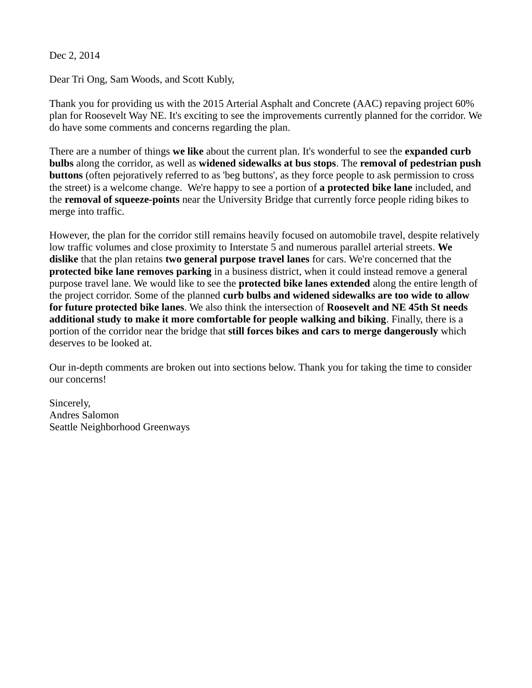Dec 2, 2014

Dear Tri Ong, Sam Woods, and Scott Kubly,

Thank you for providing us with the 2015 Arterial Asphalt and Concrete (AAC) repaving project 60% plan for Roosevelt Way NE. It's exciting to see the improvements currently planned for the corridor. We do have some comments and concerns regarding the plan.

There are a number of things **we like** about the current plan. It's wonderful to see the **expanded curb bulbs** along the corridor, as well as **widened sidewalks at bus stops**. The **removal of pedestrian push buttons** (often pejoratively referred to as 'beg buttons', as they force people to ask permission to cross the street) is a welcome change. We're happy to see a portion of **a protected bike lane** included, and the **removal of squeeze-points** near the University Bridge that currently force people riding bikes to merge into traffic.

However, the plan for the corridor still remains heavily focused on automobile travel, despite relatively low traffic volumes and close proximity to Interstate 5 and numerous parallel arterial streets. **We dislike** that the plan retains **two general purpose travel lanes** for cars. We're concerned that the **protected bike lane removes parking** in a business district, when it could instead remove a general purpose travel lane. We would like to see the **protected bike lanes extended** along the entire length of the project corridor. Some of the planned **curb bulbs and widened sidewalks are too wide to allow for future protected bike lanes**. We also think the intersection of **Roosevelt and NE 45th St needs additional study to make it more comfortable for people walking and biking**. Finally, there is a portion of the corridor near the bridge that **still forces bikes and cars to merge dangerously** which deserves to be looked at.

Our in-depth comments are broken out into sections below. Thank you for taking the time to consider our concerns!

Sincerely, Andres Salomon Seattle Neighborhood Greenways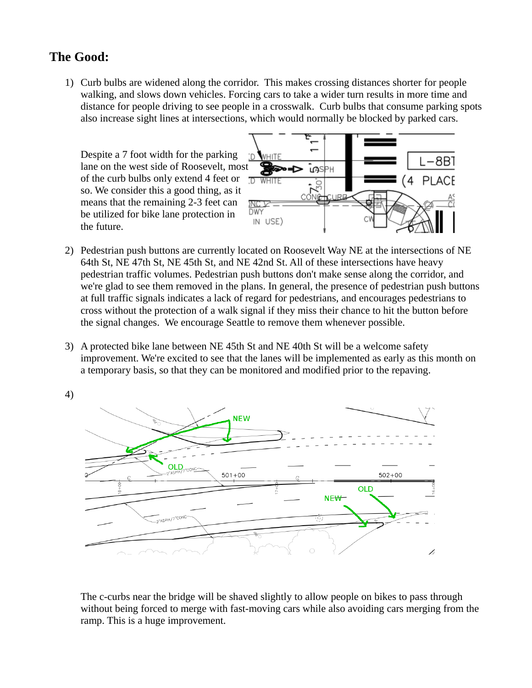## **The Good:**

1) Curb bulbs are widened along the corridor. This makes crossing distances shorter for people walking, and slows down vehicles. Forcing cars to take a wider turn results in more time and distance for people driving to see people in a crosswalk. Curb bulbs that consume parking spots also increase sight lines at intersections, which would normally be blocked by parked cars.

Despite a 7 foot width for the parking lane on the west side of Roosevelt, most of the curb bulbs only extend 4 feet or so. We consider this a good thing, as it means that the remaining 2-3 feet can be utilized for bike lane protection in the future.



- 2) Pedestrian push buttons are currently located on Roosevelt Way NE at the intersections of NE 64th St, NE 47th St, NE 45th St, and NE 42nd St. All of these intersections have heavy pedestrian traffic volumes. Pedestrian push buttons don't make sense along the corridor, and we're glad to see them removed in the plans. In general, the presence of pedestrian push buttons at full traffic signals indicates a lack of regard for pedestrians, and encourages pedestrians to cross without the protection of a walk signal if they miss their chance to hit the button before the signal changes. We encourage Seattle to remove them whenever possible.
- 3) A protected bike lane between NE 45th St and NE 40th St will be a welcome safety improvement. We're excited to see that the lanes will be implemented as early as this month on a temporary basis, so that they can be monitored and modified prior to the repaving.



The c-curbs near the bridge will be shaved slightly to allow people on bikes to pass through without being forced to merge with fast-moving cars while also avoiding cars merging from the ramp. This is a huge improvement.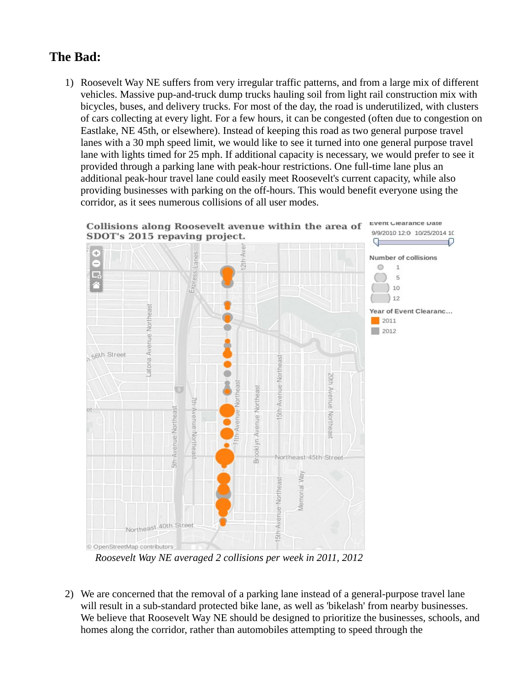## **The Bad:**

1) Roosevelt Way NE suffers from very irregular traffic patterns, and from a large mix of different vehicles. Massive pup-and-truck dump trucks hauling soil from light rail construction mix with bicycles, buses, and delivery trucks. For most of the day, the road is underutilized, with clusters of cars collecting at every light. For a few hours, it can be congested (often due to congestion on Eastlake, NE 45th, or elsewhere). Instead of keeping this road as two general purpose travel lanes with a 30 mph speed limit, we would like to see it turned into one general purpose travel lane with lights timed for 25 mph. If additional capacity is necessary, we would prefer to see it provided through a parking lane with peak-hour restrictions. One full-time lane plus an additional peak-hour travel lane could easily meet Roosevelt's current capacity, while also providing businesses with parking on the off-hours. This would benefit everyone using the corridor, as it sees numerous collisions of all user modes.



*Roosevelt Way NE averaged 2 collisions per week in 2011, 2012*

2) We are concerned that the removal of a parking lane instead of a general-purpose travel lane will result in a sub-standard protected bike lane, as well as 'bikelash' from nearby businesses. We believe that Roosevelt Way NE should be designed to prioritize the businesses, schools, and homes along the corridor, rather than automobiles attempting to speed through the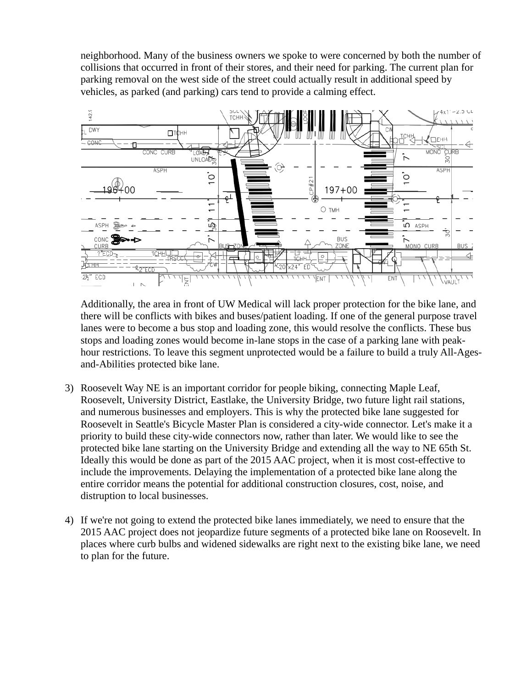neighborhood. Many of the business owners we spoke to were concerned by both the number of collisions that occurred in front of their stores, and their need for parking. The current plan for parking removal on the west side of the street could actually result in additional speed by vehicles, as parked (and parking) cars tend to provide a calming effect.



Additionally, the area in front of UW Medical will lack proper protection for the bike lane, and there will be conflicts with bikes and buses/patient loading. If one of the general purpose travel lanes were to become a bus stop and loading zone, this would resolve the conflicts. These bus stops and loading zones would become in-lane stops in the case of a parking lane with peakhour restrictions. To leave this segment unprotected would be a failure to build a truly All-Agesand-Abilities protected bike lane.

- 3) Roosevelt Way NE is an important corridor for people biking, connecting Maple Leaf, Roosevelt, University District, Eastlake, the University Bridge, two future light rail stations, and numerous businesses and employers. This is why the protected bike lane suggested for Roosevelt in Seattle's Bicycle Master Plan is considered a city-wide connector. Let's make it a priority to build these city-wide connectors now, rather than later. We would like to see the protected bike lane starting on the University Bridge and extending all the way to NE 65th St. Ideally this would be done as part of the 2015 AAC project, when it is most cost-effective to include the improvements. Delaying the implementation of a protected bike lane along the entire corridor means the potential for additional construction closures, cost, noise, and distruption to local businesses.
- 4) If we're not going to extend the protected bike lanes immediately, we need to ensure that the 2015 AAC project does not jeopardize future segments of a protected bike lane on Roosevelt. In places where curb bulbs and widened sidewalks are right next to the existing bike lane, we need to plan for the future.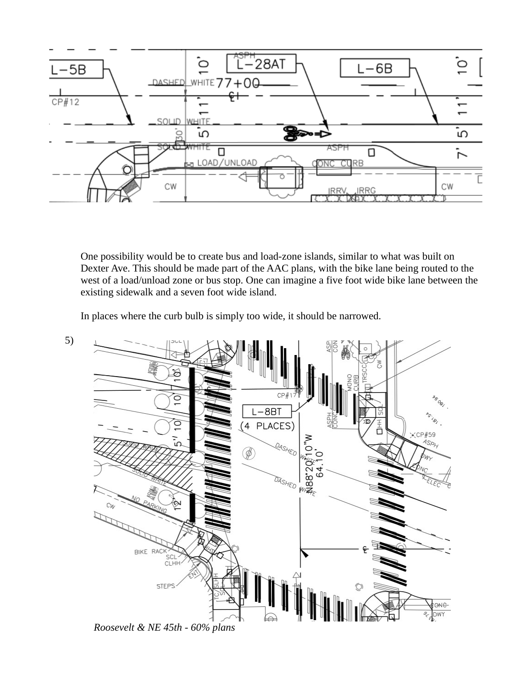

One possibility would be to create bus and load-zone islands, similar to what was built on Dexter Ave. This should be made part of the AAC plans, with the bike lane being routed to the west of a load/unload zone or bus stop. One can imagine a five foot wide bike lane between the existing sidewalk and a seven foot wide island.

In places where the curb bulb is simply too wide, it should be narrowed.

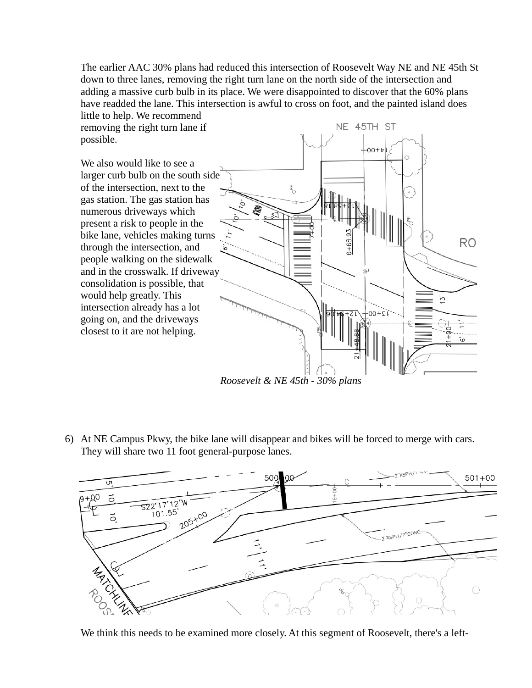The earlier AAC 30% plans had reduced this intersection of Roosevelt Way NE and NE 45th St down to three lanes, removing the right turn lane on the north side of the intersection and adding a massive curb bulb in its place. We were disappointed to discover that the 60% plans have readded the lane. This intersection is awful to cross on foot, and the painted island does

little to help. We recommend removing the right turn lane if possible.

We also would like to see a larger curb bulb on the south side of the intersection, next to the gas station. The gas station has numerous driveways which present a risk to people in the bike lane, vehicles making turns through the intersection, and people walking on the sidewalk and in the crosswalk. If driveway consolidation is possible, that would help greatly. This intersection already has a lot going on, and the driveways closest to it are not helping.



*Roosevelt & NE 45th - 30% plans*

6) At NE Campus Pkwy, the bike lane will disappear and bikes will be forced to merge with cars. They will share two 11 foot general-purpose lanes.



We think this needs to be examined more closely. At this segment of Roosevelt, there's a left-